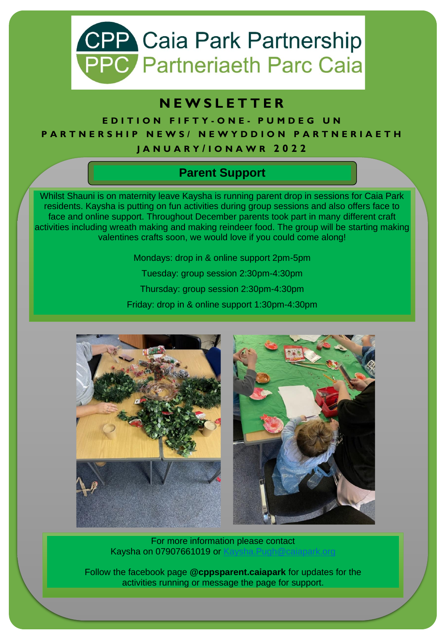

## **N E W S L E T T E R**

**E D I T I O N F I F T Y - O N E - P U M D E G U N PARTNERSHIP NEWS/ NEWYDDION PARTNERIAETH J A N U A R Y / I O N A W R 2 0 2 2**

### **Parent Support**

Whilst Shauni is on maternity leave Kaysha is running parent drop in sessions for Caia Park residents. Kaysha is putting on fun activities during group sessions and also offers face to face and online support. Throughout December parents took part in many different craft activities including wreath making and making reindeer food. The group will be starting making valentines crafts soon, we would love if you could come along!

Mondays: drop in & online support 2pm-5pm

Tuesday: group session 2:30pm-4:30pm

Thursday: group session 2:30pm-4:30pm

Friday: drop in & online support 1:30pm-4:30pm



For more information please contact Kaysha on 07907661019 or [Kaysha.Pugh@caiapark.org](mailto:Kaysha.Pugh@caiapark.org)

Follow the facebook page **@cppsparent.caiapark** for updates for the activities running or message the page for support.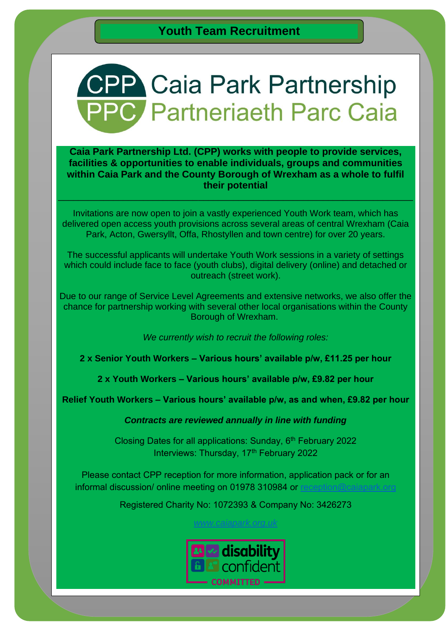## **CPP Caia Park Partnership PPC** Partneriaeth Parc Caia

#### **Caia Park Partnership Ltd. (CPP) works with people to provide services, facilities & opportunities to enable individuals, groups and communities within Caia Park and the County Borough of Wrexham as a whole to fulfil their potential**

Invitations are now open to join a vastly experienced Youth Work team, which has delivered open access youth provisions across several areas of central Wrexham (Caia Park, Acton, Gwersyllt, Offa, Rhostyllen and town centre) for over 20 years.

 $\_$  , and the set of the set of the set of the set of the set of the set of the set of the set of the set of the set of the set of the set of the set of the set of the set of the set of the set of the set of the set of th

The successful applicants will undertake Youth Work sessions in a variety of settings which could include face to face (youth clubs), digital delivery (online) and detached or outreach (street work).

Due to our range of Service Level Agreements and extensive networks, we also offer the chance for partnership working with several other local organisations within the County Borough of Wrexham.

*We currently wish to recruit the following roles:*

**2 x Senior Youth Workers – Various hours' available p/w, £11.25 per hour**

**2 x Youth Workers – Various hours' available p/w, £9.82 per hour**

**Relief Youth Workers – Various hours' available p/w, as and when, £9.82 per hour**

*Contracts are reviewed annually in line with funding*

Closing Dates for all applications: Sunday, 6<sup>th</sup> February 2022 Interviews: Thursday, 17<sup>th</sup> February 2022

Please contact CPP reception for more information, application pack or for an informal discussion/ online meeting on 01978 310984 or reception@caiapark

Registered Charity No: 1072393 & Company No: 3426273

*[www.caiapark.org.uk](http://www.caiapark.org.uk/)*

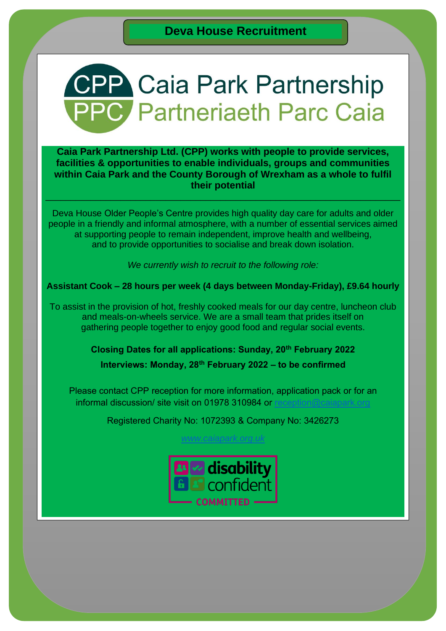# **CPP Caia Park Partnership PC** Partneriaeth Parc Caia

**Caia Park Partnership Ltd. (CPP) works with people to provide services, facilities & opportunities to enable individuals, groups and communities within Caia Park and the County Borough of Wrexham as a whole to fulfil their potential** 

 $\_$  , and the contribution of the contribution of  $\mathcal{L}_1$  , and the contribution of  $\mathcal{L}_2$  , and the contribution of  $\mathcal{L}_1$ 

Deva House Older People's Centre provides high quality day care for adults and older people in a friendly and informal atmosphere, with a number of essential services aimed at supporting people to remain independent, improve health and wellbeing, and to provide opportunities to socialise and break down isolation.

*We currently wish to recruit to the following role:*

**Assistant Cook – 28 hours per week (4 days between Monday-Friday), £9.64 hourly**

To assist in the provision of hot, freshly cooked meals for our day centre, luncheon club and meals-on-wheels service. We are a small team that prides itself on gathering people together to enjoy good food and regular social events.

**Closing Dates for all applications: Sunday, 20th February 2022** 

**Interviews: Monday, 28th February 2022 – to be confirmed**

Please contact CPP reception for more information, application pack or for an informal discussion/ site visit on 01978 310984 or [reception@caiapark.org](mailto:reception@caiapark.org)

Registered Charity No: 1072393 & Company No: 3426273

*[www.caiapark.org.uk](http://www.caiapark.org.uk/)*